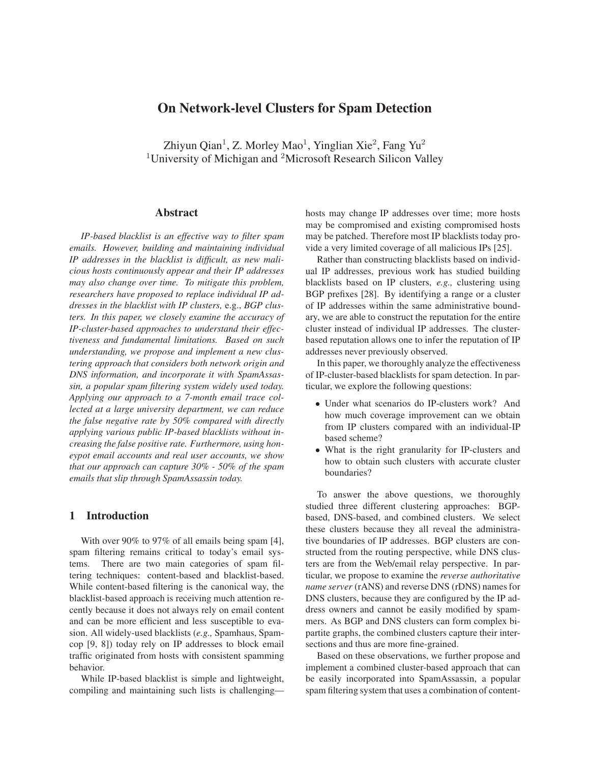# **On Network-level Clusters for Spam Detection**

Zhiyun Qian<sup>1</sup>, Z. Morley Mao<sup>1</sup>, Yinglian Xie<sup>2</sup>, Fang Yu<sup>2</sup> <sup>1</sup>University of Michigan and <sup>2</sup>Microsoft Research Silicon Valley

#### **Abstract**

*IP-based blacklist is an effective way to filter spam emails. However, building and maintaining individual IP addresses in the blacklist is difficult, as new malicious hosts continuously appear and their IP addresses may also change over time. To mitigate this problem, researchers have proposed to replace individual IP addresses in the blacklist with IP clusters,* e.g., *BGP clusters. In this paper, we closely examine the accuracy of IP-cluster-based approaches to understand their effectiveness and fundamental limitations. Based on such understanding, we propose and implement a new clustering approach that considers both network origin and DNS information, and incorporate it with SpamAssassin, a popular spam filtering system widely used today. Applying our approach to a 7-month email trace collected at a large university department, we can reduce the false negative rate by 50% compared with directly applying various public IP-based blacklists without increasing the false positive rate. Furthermore, using honeypot email accounts and real user accounts, we show that our approach can capture 30% - 50% of the spam emails that slip through SpamAssassin today.*

## **1 Introduction**

With over 90% to 97% of all emails being spam [4], spam filtering remains critical to today's email systems. There are two main categories of spam filtering techniques: content-based and blacklist-based. While content-based filtering is the canonical way, the blacklist-based approach is receiving much attention recently because it does not always rely on email content and can be more efficient and less susceptible to evasion. All widely-used blacklists (*e.g.,* Spamhaus, Spamcop [9, 8]) today rely on IP addresses to block email traffic originated from hosts with consistent spamming behavior.

While IP-based blacklist is simple and lightweight, compiling and maintaining such lists is challenginghosts may change IP addresses over time; more hosts may be compromised and existing compromised hosts may be patched. Therefore most IP blacklists today provide a very limited coverage of all malicious IPs [25].

Rather than constructing blacklists based on individual IP addresses, previous work has studied building blacklists based on IP clusters, *e.g.,* clustering using BGP prefixes [28]. By identifying a range or a cluster of IP addresses within the same administrative boundary, we are able to construct the reputation for the entire cluster instead of individual IP addresses. The clusterbased reputation allows one to infer the reputation of IP addresses never previously observed.

In this paper, we thoroughly analyze the effectiveness of IP-cluster-based blacklists for spam detection. In particular, we explore the following questions:

- Under what scenarios do IP-clusters work? And how much coverage improvement can we obtain from IP clusters compared with an individual-IP based scheme?
- What is the right granularity for IP-clusters and how to obtain such clusters with accurate cluster boundaries?

To answer the above questions, we thoroughly studied three different clustering approaches: BGPbased, DNS-based, and combined clusters. We select these clusters because they all reveal the administrative boundaries of IP addresses. BGP clusters are constructed from the routing perspective, while DNS clusters are from the Web/email relay perspective. In particular, we propose to examine the *reverse authoritative name server* (rANS) and reverse DNS (rDNS) names for DNS clusters, because they are configured by the IP address owners and cannot be easily modified by spammers. As BGP and DNS clusters can form complex bipartite graphs, the combined clusters capture their intersections and thus are more fine-grained.

Based on these observations, we further propose and implement a combined cluster-based approach that can be easily incorporated into SpamAssassin, a popular spam filtering system that uses a combination of content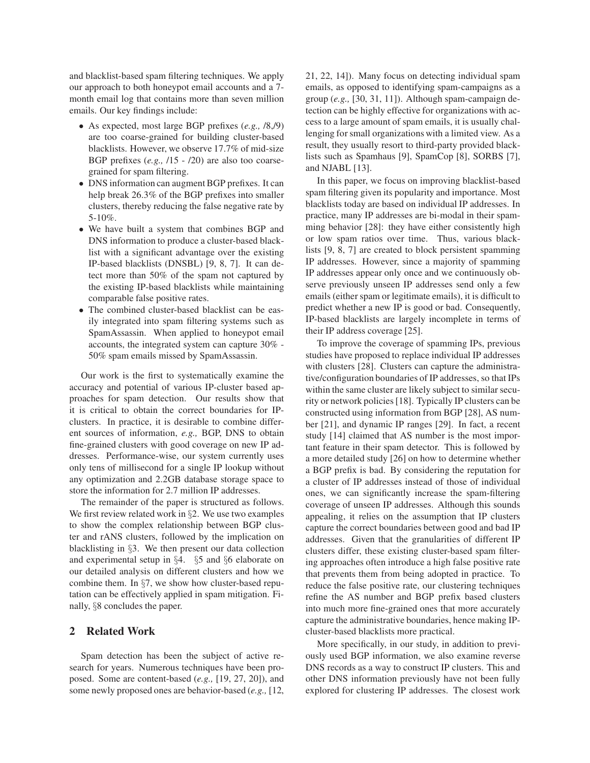and blacklist-based spam filtering techniques. We apply our approach to both honeypot email accounts and a 7 month email log that contains more than seven million emails. Our key findings include:

- As expected, most large BGP prefixes (*e.g.,* /8,/9) are too coarse-grained for building cluster-based blacklists. However, we observe 17.7% of mid-size BGP prefixes (*e.g.,* /15 - /20) are also too coarsegrained for spam filtering.
- DNS information can augment BGP prefixes. It can help break 26.3% of the BGP prefixes into smaller clusters, thereby reducing the false negative rate by 5-10%.
- We have built a system that combines BGP and DNS information to produce a cluster-based blacklist with a significant advantage over the existing IP-based blacklists (DNSBL) [9, 8, 7]. It can detect more than 50% of the spam not captured by the existing IP-based blacklists while maintaining comparable false positive rates.
- The combined cluster-based blacklist can be easily integrated into spam filtering systems such as SpamAssassin. When applied to honeypot email accounts, the integrated system can capture 30% - 50% spam emails missed by SpamAssassin.

Our work is the first to systematically examine the accuracy and potential of various IP-cluster based approaches for spam detection. Our results show that it is critical to obtain the correct boundaries for IPclusters. In practice, it is desirable to combine different sources of information, *e.g.,* BGP, DNS to obtain fine-grained clusters with good coverage on new IP addresses. Performance-wise, our system currently uses only tens of millisecond for a single IP lookup without any optimization and 2.2GB database storage space to store the information for 2.7 million IP addresses.

The remainder of the paper is structured as follows. We first review related work in §2. We use two examples to show the complex relationship between BGP cluster and rANS clusters, followed by the implication on blacklisting in §3. We then present our data collection and experimental setup in §4. §5 and §6 elaborate on our detailed analysis on different clusters and how we combine them. In §7, we show how cluster-based reputation can be effectively applied in spam mitigation. Finally, §8 concludes the paper.

## **2 Related Work**

Spam detection has been the subject of active research for years. Numerous techniques have been proposed. Some are content-based (*e.g.,* [19, 27, 20]), and some newly proposed ones are behavior-based (*e.g.,* [12, 21, 22, 14]). Many focus on detecting individual spam emails, as opposed to identifying spam-campaigns as a group (*e.g.,* [30, 31, 11]). Although spam-campaign detection can be highly effective for organizations with access to a large amount of spam emails, it is usually challenging for small organizations with a limited view. As a result, they usually resort to third-party provided blacklists such as Spamhaus [9], SpamCop [8], SORBS [7], and NJABL [13].

In this paper, we focus on improving blacklist-based spam filtering given its popularity and importance. Most blacklists today are based on individual IP addresses. In practice, many IP addresses are bi-modal in their spamming behavior [28]: they have either consistently high or low spam ratios over time. Thus, various blacklists [9, 8, 7] are created to block persistent spamming IP addresses. However, since a majority of spamming IP addresses appear only once and we continuously observe previously unseen IP addresses send only a few emails (either spam or legitimate emails), it is difficult to predict whether a new IP is good or bad. Consequently, IP-based blacklists are largely incomplete in terms of their IP address coverage [25].

To improve the coverage of spamming IPs, previous studies have proposed to replace individual IP addresses with clusters [28]. Clusters can capture the administrative/configuration boundaries of IP addresses, so that IPs within the same cluster are likely subject to similar security or network policies [18]. Typically IP clusters can be constructed using information from BGP [28], AS number [21], and dynamic IP ranges [29]. In fact, a recent study [14] claimed that AS number is the most important feature in their spam detector. This is followed by a more detailed study [26] on how to determine whether a BGP prefix is bad. By considering the reputation for a cluster of IP addresses instead of those of individual ones, we can significantly increase the spam-filtering coverage of unseen IP addresses. Although this sounds appealing, it relies on the assumption that IP clusters capture the correct boundaries between good and bad IP addresses. Given that the granularities of different IP clusters differ, these existing cluster-based spam filtering approaches often introduce a high false positive rate that prevents them from being adopted in practice. To reduce the false positive rate, our clustering techniques refine the AS number and BGP prefix based clusters into much more fine-grained ones that more accurately capture the administrative boundaries, hence making IPcluster-based blacklists more practical.

More specifically, in our study, in addition to previously used BGP information, we also examine reverse DNS records as a way to construct IP clusters. This and other DNS information previously have not been fully explored for clustering IP addresses. The closest work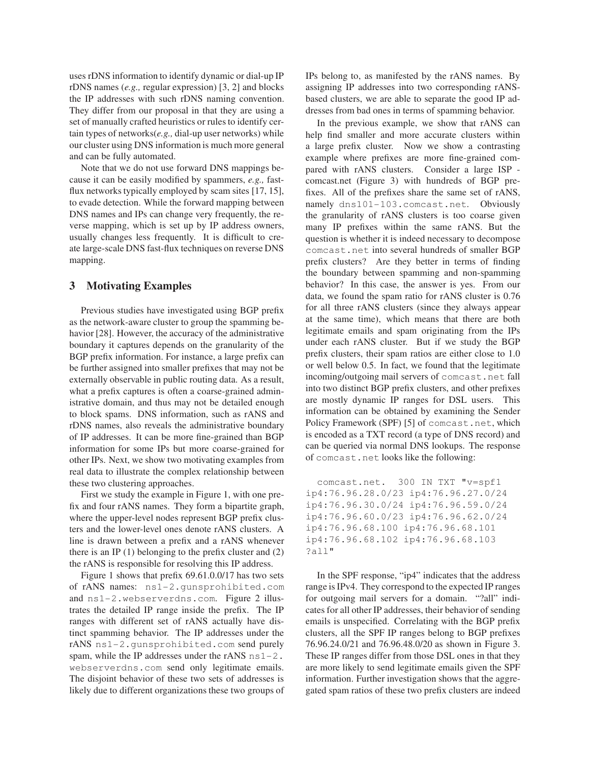uses rDNS information to identify dynamic or dial-up IP rDNS names (*e.g.,* regular expression) [3, 2] and blocks the IP addresses with such rDNS naming convention. They differ from our proposal in that they are using a set of manually crafted heuristics or rules to identify certain types of networks(*e.g.,* dial-up user networks) while our cluster using DNS information is much more general and can be fully automated.

Note that we do not use forward DNS mappings because it can be easily modified by spammers, *e.g.,* fastflux networks typically employed by scam sites [17, 15], to evade detection. While the forward mapping between DNS names and IPs can change very frequently, the reverse mapping, which is set up by IP address owners, usually changes less frequently. It is difficult to create large-scale DNS fast-flux techniques on reverse DNS mapping.

## **3 Motivating Examples**

Previous studies have investigated using BGP prefix as the network-aware cluster to group the spamming behavior [28]. However, the accuracy of the administrative boundary it captures depends on the granularity of the BGP prefix information. For instance, a large prefix can be further assigned into smaller prefixes that may not be externally observable in public routing data. As a result, what a prefix captures is often a coarse-grained administrative domain, and thus may not be detailed enough to block spams. DNS information, such as rANS and rDNS names, also reveals the administrative boundary of IP addresses. It can be more fine-grained than BGP information for some IPs but more coarse-grained for other IPs. Next, we show two motivating examples from real data to illustrate the complex relationship between these two clustering approaches.

First we study the example in Figure 1, with one prefix and four rANS names. They form a bipartite graph, where the upper-level nodes represent BGP prefix clusters and the lower-level ones denote rANS clusters. A line is drawn between a prefix and a rANS whenever there is an IP (1) belonging to the prefix cluster and (2) the rANS is responsible for resolving this IP address.

Figure 1 shows that prefix 69.61.0.0/17 has two sets of rANS names: ns1-2.gunsprohibited.com and ns1-2.webserverdns.com. Figure 2 illustrates the detailed IP range inside the prefix. The IP ranges with different set of rANS actually have distinct spamming behavior. The IP addresses under the rANS ns1-2.gunsprohibited.com send purely spam, while the IP addresses under the rANS  $ns1-2$ . webserverdns.com send only legitimate emails. The disjoint behavior of these two sets of addresses is likely due to different organizations these two groups of

IPs belong to, as manifested by the rANS names. By assigning IP addresses into two corresponding rANSbased clusters, we are able to separate the good IP addresses from bad ones in terms of spamming behavior.

In the previous example, we show that rANS can help find smaller and more accurate clusters within a large prefix cluster. Now we show a contrasting example where prefixes are more fine-grained compared with rANS clusters. Consider a large ISP comcast.net (Figure 3) with hundreds of BGP prefixes. All of the prefixes share the same set of rANS, namely dns101-103.comcast.net. Obviously the granularity of rANS clusters is too coarse given many IP prefixes within the same rANS. But the question is whether it is indeed necessary to decompose comcast.net into several hundreds of smaller BGP prefix clusters? Are they better in terms of finding the boundary between spamming and non-spamming behavior? In this case, the answer is yes. From our data, we found the spam ratio for rANS cluster is 0.76 for all three rANS clusters (since they always appear at the same time), which means that there are both legitimate emails and spam originating from the IPs under each rANS cluster. But if we study the BGP prefix clusters, their spam ratios are either close to 1.0 or well below 0.5. In fact, we found that the legitimate incoming/outgoing mail servers of comcast.net fall into two distinct BGP prefix clusters, and other prefixes are mostly dynamic IP ranges for DSL users. This information can be obtained by examining the Sender Policy Framework (SPF) [5] of comcast.net, which is encoded as a TXT record (a type of DNS record) and can be queried via normal DNS lookups. The response of comcast.net looks like the following:

comcast.net. 300 IN TXT "v=spf1 ip4:76.96.28.0/23 ip4:76.96.27.0/24 ip4:76.96.30.0/24 ip4:76.96.59.0/24 ip4:76.96.60.0/23 ip4:76.96.62.0/24 ip4:76.96.68.100 ip4:76.96.68.101 ip4:76.96.68.102 ip4:76.96.68.103 ?all"

In the SPF response, "ip4" indicates that the address range is IPv4. They correspond to the expected IP ranges for outgoing mail servers for a domain. "?all" indicates for all other IP addresses, their behavior of sending emails is unspecified. Correlating with the BGP prefix clusters, all the SPF IP ranges belong to BGP prefixes 76.96.24.0/21 and 76.96.48.0/20 as shown in Figure 3. These IP ranges differ from those DSL ones in that they are more likely to send legitimate emails given the SPF information. Further investigation shows that the aggregated spam ratios of these two prefix clusters are indeed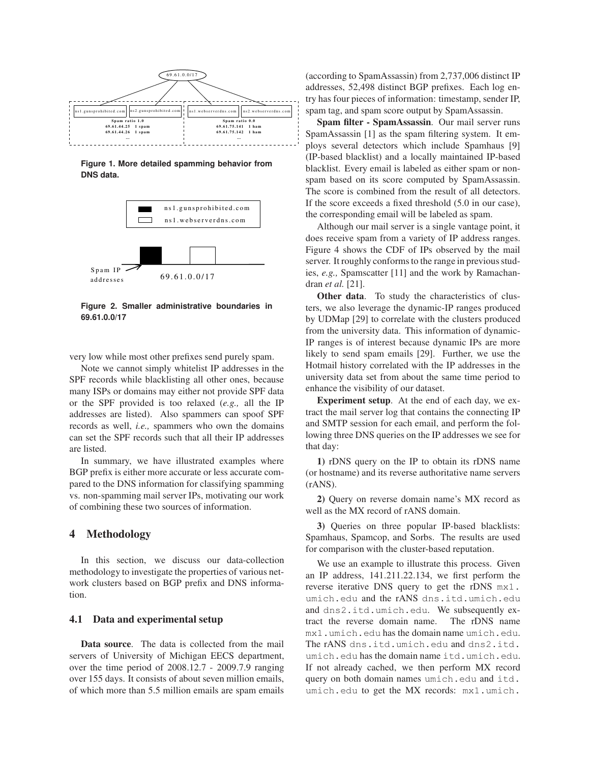

**Figure 1. More detailed spamming behavior from DNS data.**



**Figure 2. Smaller administrative boundaries in 69.61.0.0/17**

very low while most other prefixes send purely spam.

Note we cannot simply whitelist IP addresses in the SPF records while blacklisting all other ones, because many ISPs or domains may either not provide SPF data or the SPF provided is too relaxed (*e.g.,* all the IP addresses are listed). Also spammers can spoof SPF records as well, *i.e.,* spammers who own the domains can set the SPF records such that all their IP addresses are listed.

In summary, we have illustrated examples where BGP prefix is either more accurate or less accurate compared to the DNS information for classifying spamming vs. non-spamming mail server IPs, motivating our work of combining these two sources of information.

## **4 Methodology**

In this section, we discuss our data-collection methodology to investigate the properties of various network clusters based on BGP prefix and DNS information.

## **4.1 Data and experimental setup**

**Data source**. The data is collected from the mail servers of University of Michigan EECS department, over the time period of 2008.12.7 - 2009.7.9 ranging over 155 days. It consists of about seven million emails, of which more than 5.5 million emails are spam emails

(according to SpamAssassin) from 2,737,006 distinct IP addresses, 52,498 distinct BGP prefixes. Each log entry has four pieces of information: timestamp, sender IP, spam tag, and spam score output by SpamAssassin.

**Spam filter - SpamAssassin**. Our mail server runs SpamAssassin [1] as the spam filtering system. It employs several detectors which include Spamhaus [9] (IP-based blacklist) and a locally maintained IP-based blacklist. Every email is labeled as either spam or nonspam based on its score computed by SpamAssassin. The score is combined from the result of all detectors. If the score exceeds a fixed threshold (5.0 in our case), the corresponding email will be labeled as spam.

Although our mail server is a single vantage point, it does receive spam from a variety of IP address ranges. Figure 4 shows the CDF of IPs observed by the mail server. It roughly conforms to the range in previous studies, *e.g.,* Spamscatter [11] and the work by Ramachandran *et al.* [21].

**Other data**. To study the characteristics of clusters, we also leverage the dynamic-IP ranges produced by UDMap [29] to correlate with the clusters produced from the university data. This information of dynamic-IP ranges is of interest because dynamic IPs are more likely to send spam emails [29]. Further, we use the Hotmail history correlated with the IP addresses in the university data set from about the same time period to enhance the visibility of our dataset.

**Experiment setup**. At the end of each day, we extract the mail server log that contains the connecting IP and SMTP session for each email, and perform the following three DNS queries on the IP addresses we see for that day:

**1)** rDNS query on the IP to obtain its rDNS name (or hostname) and its reverse authoritative name servers (rANS).

**2)** Query on reverse domain name's MX record as well as the MX record of rANS domain.

**3)** Queries on three popular IP-based blacklists: Spamhaus, Spamcop, and Sorbs. The results are used for comparison with the cluster-based reputation.

We use an example to illustrate this process. Given an IP address, 141.211.22.134, we first perform the reverse iterative DNS query to get the rDNS mx1. umich.edu and the rANS dns.itd.umich.edu and dns2.itd.umich.edu. We subsequently extract the reverse domain name. The rDNS name mx1.umich.edu has the domain name umich.edu. The rANS dns.itd.umich.edu and dns2.itd. umich.edu has the domain name itd.umich.edu. If not already cached, we then perform MX record query on both domain names umich.edu and itd. umich.edu to get the MX records: mx1.umich.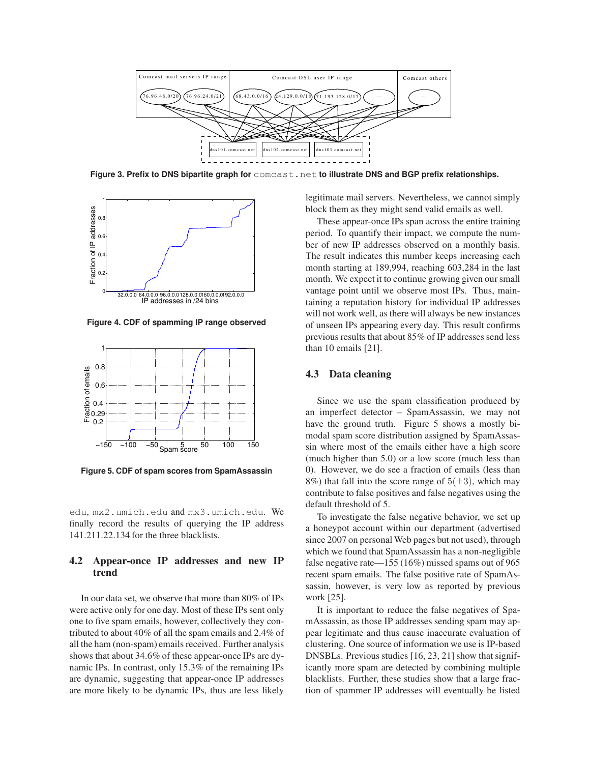

**Figure 3. Prefix to DNS bipartite graph for** comcast.net **to illustrate DNS and BGP prefix relationships.**



**Figure 4. CDF of spamming IP range observed**



**Figure 5. CDF of spam scores from SpamAssassin**

edu, mx2.umich.edu and mx3.umich.edu. We finally record the results of querying the IP address 141.211.22.134 for the three blacklists.

## **4.2 Appear-once IP addresses and new IP trend**

In our data set, we observe that more than 80% of IPs were active only for one day. Most of these IPs sent only one to five spam emails, however, collectively they contributed to about 40% of all the spam emails and 2.4% of all the ham (non-spam) emails received. Further analysis shows that about 34.6% of these appear-once IPs are dynamic IPs. In contrast, only 15.3% of the remaining IPs are dynamic, suggesting that appear-once IP addresses are more likely to be dynamic IPs, thus are less likely legitimate mail servers. Nevertheless, we cannot simply block them as they might send valid emails as well.

These appear-once IPs span across the entire training period. To quantify their impact, we compute the number of new IP addresses observed on a monthly basis. The result indicates this number keeps increasing each month starting at 189,994, reaching 603,284 in the last month. We expect it to continue growing given our small vantage point until we observe most IPs. Thus, maintaining a reputation history for individual IP addresses will not work well, as there will always be new instances of unseen IPs appearing every day. This result confirms previous results that about 85% of IP addresses send less than 10 emails [21].

#### **4.3 Data cleaning**

Since we use the spam classification produced by an imperfect detector – SpamAssassin, we may not have the ground truth. Figure 5 shows a mostly bimodal spam score distribution assigned by SpamAssassin where most of the emails either have a high score (much higher than 5.0) or a low score (much less than 0). However, we do see a fraction of emails (less than 8%) that fall into the score range of  $5(\pm 3)$ , which may contribute to false positives and false negatives using the default threshold of 5.

To investigate the false negative behavior, we set up a honeypot account within our department (advertised since 2007 on personal Web pages but not used), through which we found that SpamAssassin has a non-negligible false negative rate—155 (16%) missed spams out of 965 recent spam emails. The false positive rate of SpamAssassin, however, is very low as reported by previous work [25].

It is important to reduce the false negatives of SpamAssassin, as those IP addresses sending spam may appear legitimate and thus cause inaccurate evaluation of clustering. One source of information we use is IP-based DNSBLs. Previous studies [16, 23, 21] show that significantly more spam are detected by combining multiple blacklists. Further, these studies show that a large fraction of spammer IP addresses will eventually be listed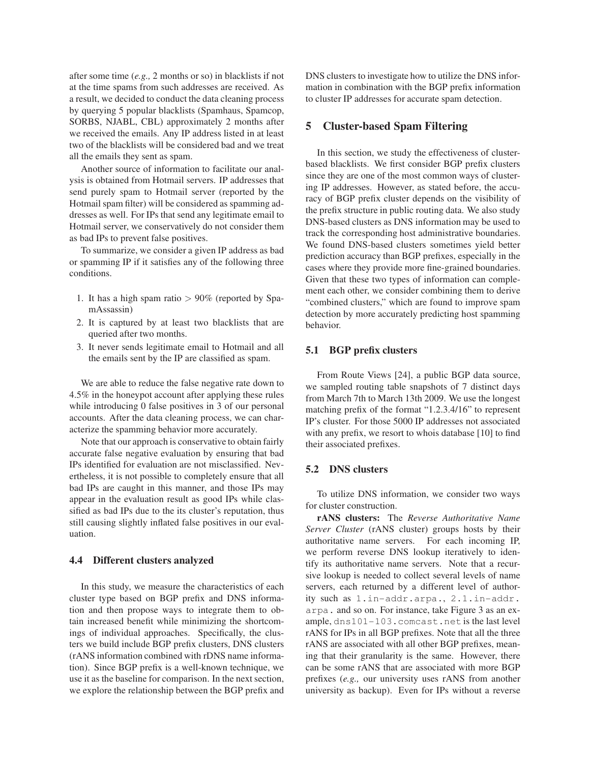after some time (*e.g.,* 2 months or so) in blacklists if not at the time spams from such addresses are received. As a result, we decided to conduct the data cleaning process by querying 5 popular blacklists (Spamhaus, Spamcop, SORBS, NJABL, CBL) approximately 2 months after we received the emails. Any IP address listed in at least two of the blacklists will be considered bad and we treat all the emails they sent as spam.

Another source of information to facilitate our analysis is obtained from Hotmail servers. IP addresses that send purely spam to Hotmail server (reported by the Hotmail spam filter) will be considered as spamming addresses as well. For IPs that send any legitimate email to Hotmail server, we conservatively do not consider them as bad IPs to prevent false positives.

To summarize, we consider a given IP address as bad or spamming IP if it satisfies any of the following three conditions.

- 1. It has a high spam ratio  $> 90\%$  (reported by SpamAssassin)
- 2. It is captured by at least two blacklists that are queried after two months.
- 3. It never sends legitimate email to Hotmail and all the emails sent by the IP are classified as spam.

We are able to reduce the false negative rate down to 4.5% in the honeypot account after applying these rules while introducing 0 false positives in 3 of our personal accounts. After the data cleaning process, we can characterize the spamming behavior more accurately.

Note that our approach is conservative to obtain fairly accurate false negative evaluation by ensuring that bad IPs identified for evaluation are not misclassified. Nevertheless, it is not possible to completely ensure that all bad IPs are caught in this manner, and those IPs may appear in the evaluation result as good IPs while classified as bad IPs due to the its cluster's reputation, thus still causing slightly inflated false positives in our evaluation.

#### **4.4 Different clusters analyzed**

In this study, we measure the characteristics of each cluster type based on BGP prefix and DNS information and then propose ways to integrate them to obtain increased benefit while minimizing the shortcomings of individual approaches. Specifically, the clusters we build include BGP prefix clusters, DNS clusters (rANS information combined with rDNS name information). Since BGP prefix is a well-known technique, we use it as the baseline for comparison. In the next section, we explore the relationship between the BGP prefix and DNS clusters to investigate how to utilize the DNS information in combination with the BGP prefix information to cluster IP addresses for accurate spam detection.

## **5 Cluster-based Spam Filtering**

In this section, we study the effectiveness of clusterbased blacklists. We first consider BGP prefix clusters since they are one of the most common ways of clustering IP addresses. However, as stated before, the accuracy of BGP prefix cluster depends on the visibility of the prefix structure in public routing data. We also study DNS-based clusters as DNS information may be used to track the corresponding host administrative boundaries. We found DNS-based clusters sometimes yield better prediction accuracy than BGP prefixes, especially in the cases where they provide more fine-grained boundaries. Given that these two types of information can complement each other, we consider combining them to derive "combined clusters," which are found to improve spam detection by more accurately predicting host spamming behavior.

#### **5.1 BGP prefix clusters**

From Route Views [24], a public BGP data source, we sampled routing table snapshots of 7 distinct days from March 7th to March 13th 2009. We use the longest matching prefix of the format "1.2.3.4/16" to represent IP's cluster. For those 5000 IP addresses not associated with any prefix, we resort to whois database [10] to find their associated prefixes.

### **5.2 DNS clusters**

To utilize DNS information, we consider two ways for cluster construction.

**rANS clusters:** The *Reverse Authoritative Name Server Cluster* (rANS cluster) groups hosts by their authoritative name servers. For each incoming IP, we perform reverse DNS lookup iteratively to identify its authoritative name servers. Note that a recursive lookup is needed to collect several levels of name servers, each returned by a different level of authority such as 1.in-addr.arpa., 2.1.in-addr. arpa. and so on. For instance, take Figure 3 as an example, dns101-103.comcast.net is the last level rANS for IPs in all BGP prefixes. Note that all the three rANS are associated with all other BGP prefixes, meaning that their granularity is the same. However, there can be some rANS that are associated with more BGP prefixes (*e.g.,* our university uses rANS from another university as backup). Even for IPs without a reverse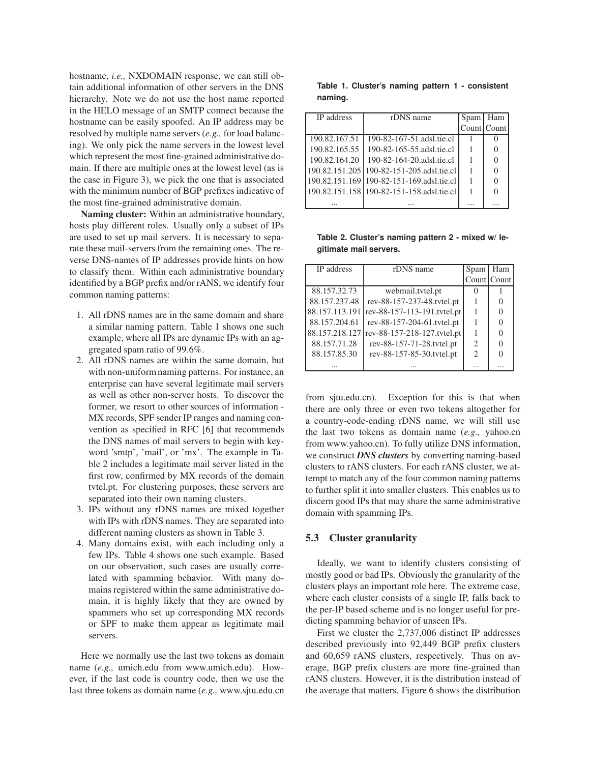hostname, *i.e.,* NXDOMAIN response, we can still obtain additional information of other servers in the DNS hierarchy. Note we do not use the host name reported in the HELO message of an SMTP connect because the hostname can be easily spoofed. An IP address may be resolved by multiple name servers (*e.g.,* for load balancing). We only pick the name servers in the lowest level which represent the most fine-grained administrative domain. If there are multiple ones at the lowest level (as is the case in Figure 3), we pick the one that is associated with the minimum number of BGP prefixes indicative of the most fine-grained administrative domain.

**Naming cluster:** Within an administrative boundary, hosts play different roles. Usually only a subset of IPs are used to set up mail servers. It is necessary to separate these mail-servers from the remaining ones. The reverse DNS-names of IP addresses provide hints on how to classify them. Within each administrative boundary identified by a BGP prefix and/or rANS, we identify four common naming patterns:

- 1. All rDNS names are in the same domain and share a similar naming pattern. Table 1 shows one such example, where all IPs are dynamic IPs with an aggregated spam ratio of 99.6%.
- 2. All rDNS names are within the same domain, but with non-uniform naming patterns. For instance, an enterprise can have several legitimate mail servers as well as other non-server hosts. To discover the former, we resort to other sources of information - MX records, SPF sender IP ranges and naming convention as specified in RFC [6] that recommends the DNS names of mail servers to begin with keyword 'smtp', 'mail', or 'mx'. The example in Table 2 includes a legitimate mail server listed in the first row, confirmed by MX records of the domain tvtel.pt. For clustering purposes, these servers are separated into their own naming clusters.
- 3. IPs without any rDNS names are mixed together with IPs with rDNS names. They are separated into different naming clusters as shown in Table 3.
- 4. Many domains exist, with each including only a few IPs. Table 4 shows one such example. Based on our observation, such cases are usually correlated with spamming behavior. With many domains registered within the same administrative domain, it is highly likely that they are owned by spammers who set up corresponding MX records or SPF to make them appear as legitimate mail servers.

Here we normally use the last two tokens as domain name (*e.g.,* umich.edu from www.umich.edu). However, if the last code is country code, then we use the last three tokens as domain name (*e.g.,* www.sjtu.edu.cn

**Table 1. Cluster's naming pattern 1 - consistent naming.**

| IP address    | rDNS name                                 | Spam        | Ham |
|---------------|-------------------------------------------|-------------|-----|
|               |                                           | Count Count |     |
| 190.82.167.51 | 190-82-167-51.adsl.tie.cl                 |             |     |
| 190.82.165.55 | 190-82-165-55.adsl.tie.cl                 |             |     |
| 190.82.164.20 | 190-82-164-20.adsl.tie.cl                 |             |     |
|               | 190.82.151.205 190-82-151-205.adsl.tie.cl |             |     |
|               | 190.82.151.169 190-82-151-169.adsl.tie.cl |             |     |
|               | 190.82.151.158 190-82-151-158.adsl.tie.cl |             |     |
|               |                                           |             |     |

**Table 2. Cluster's naming pattern 2 - mixed w/ legitimate mail servers.**

| <b>IP</b> address | rDNS name                   | Spam                        | Ham         |
|-------------------|-----------------------------|-----------------------------|-------------|
|                   |                             |                             | Count Count |
| 88.157.32.73      | webmail.tvtel.pt            |                             |             |
| 88.157.237.48     | rev-88-157-237-48.tvtel.pt  |                             |             |
| 88.157.113.191    | rev-88-157-113-191.tvtel.pt |                             |             |
| 88.157.204.61     | rev-88-157-204-61.tvtel.pt  |                             |             |
| 88.157.218.127    | rev-88-157-218-127.tvtel.pt |                             | 0           |
| 88.157.71.28      | rev-88-157-71-28.tvtel.pt   | $\mathcal{D}_{\mathcal{L}}$ |             |
| 88.157.85.30      | rev-88-157-85-30.tvtel.pt   | $\mathfrak{D}$              |             |
|                   |                             |                             |             |

from sjtu.edu.cn). Exception for this is that when there are only three or even two tokens altogether for a country-code-ending rDNS name, we will still use the last two tokens as domain name (*e.g.,* yahoo.cn from www.yahoo.cn). To fully utilize DNS information, we construct *DNS clusters* by converting naming-based clusters to rANS clusters. For each rANS cluster, we attempt to match any of the four common naming patterns to further split it into smaller clusters. This enables us to discern good IPs that may share the same administrative domain with spamming IPs.

#### **5.3 Cluster granularity**

Ideally, we want to identify clusters consisting of mostly good or bad IPs. Obviously the granularity of the clusters plays an important role here. The extreme case, where each cluster consists of a single IP, falls back to the per-IP based scheme and is no longer useful for predicting spamming behavior of unseen IPs.

First we cluster the 2,737,006 distinct IP addresses described previously into 92,449 BGP prefix clusters and 60,659 rANS clusters, respectively. Thus on average, BGP prefix clusters are more fine-grained than rANS clusters. However, it is the distribution instead of the average that matters. Figure 6 shows the distribution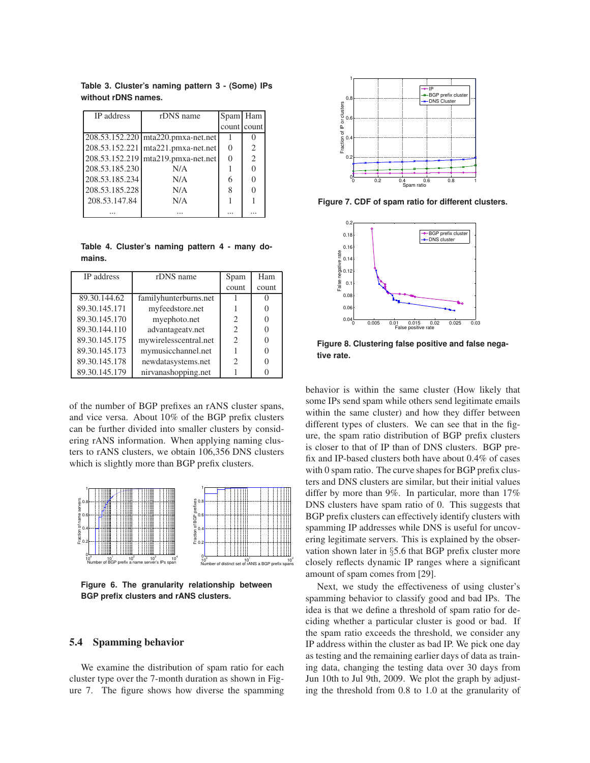| <b>IP</b> address | rDNS name                            | Spam Ham |                             |
|-------------------|--------------------------------------|----------|-----------------------------|
|                   |                                      |          | count count                 |
|                   | 208.53.152.220   mta220.pmxa-net.net |          |                             |
|                   | 208.53.152.221   mta221.pmxa-net.net |          | $\mathcal{D}_{\mathcal{L}}$ |
|                   | 208.53.152.219 mta219.pmxa-net.net   |          | 2                           |
| 208.53.185.230    | N/A                                  |          |                             |
| 208.53.185.234    | N/A                                  | 6        |                             |
| 208.53.185.228    | N/A                                  |          |                             |
| 208.53.147.84     | N/A                                  |          |                             |
|                   |                                      |          |                             |

**Table 3. Cluster's naming pattern 3 - (Some) IPs without rDNS names.**

**Table 4. Cluster's naming pattern 4 - many domains.**

| <b>IP</b> address | rDNS name             | Spam           | Ham   |
|-------------------|-----------------------|----------------|-------|
|                   |                       | count          | count |
| 89.30.144.62      | familyhunterburns.net |                |       |
| 89.30.145.171     | myfeedstore.net       |                |       |
| 89.30.145.170     | myephoto.net          | $\overline{c}$ |       |
| 89.30.144.110     | advantageatv.net      | 2              |       |
| 89.30.145.175     | mywirelesscentral.net | 2              |       |
| 89.30.145.173     | mymusicchannel.net    |                |       |
| 89.30.145.178     | newdatasystems.net    | 2              |       |
| 89.30.145.179     | nirvanashopping.net   |                |       |

of the number of BGP prefixes an rANS cluster spans, and vice versa. About 10% of the BGP prefix clusters can be further divided into smaller clusters by considering rANS information. When applying naming clusters to rANS clusters, we obtain 106,356 DNS clusters which is slightly more than BGP prefix clusters.



**Figure 6. The granularity relationship between BGP prefix clusters and rANS clusters.**

#### **5.4 Spamming behavior**

We examine the distribution of spam ratio for each cluster type over the 7-month duration as shown in Figure 7. The figure shows how diverse the spamming



**Figure 7. CDF of spam ratio for different clusters.**



**Figure 8. Clustering false positive and false negative rate.**

behavior is within the same cluster (How likely that some IPs send spam while others send legitimate emails within the same cluster) and how they differ between different types of clusters. We can see that in the figure, the spam ratio distribution of BGP prefix clusters is closer to that of IP than of DNS clusters. BGP prefix and IP-based clusters both have about 0.4% of cases with 0 spam ratio. The curve shapes for BGP prefix clusters and DNS clusters are similar, but their initial values differ by more than 9%. In particular, more than 17% DNS clusters have spam ratio of 0. This suggests that BGP prefix clusters can effectively identify clusters with spamming IP addresses while DNS is useful for uncovering legitimate servers. This is explained by the observation shown later in §5.6 that BGP prefix cluster more closely reflects dynamic IP ranges where a significant amount of spam comes from [29].

Next, we study the effectiveness of using cluster's spamming behavior to classify good and bad IPs. The idea is that we define a threshold of spam ratio for deciding whether a particular cluster is good or bad. If the spam ratio exceeds the threshold, we consider any IP address within the cluster as bad IP. We pick one day as testing and the remaining earlier days of data as training data, changing the testing data over 30 days from Jun 10th to Jul 9th, 2009. We plot the graph by adjusting the threshold from 0.8 to 1.0 at the granularity of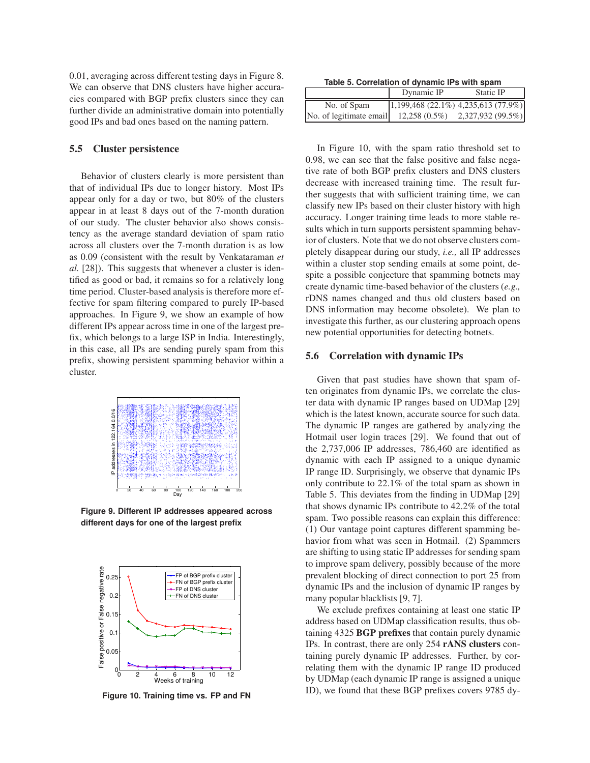0.01, averaging across different testing days in Figure 8. We can observe that DNS clusters have higher accuracies compared with BGP prefix clusters since they can further divide an administrative domain into potentially good IPs and bad ones based on the naming pattern.

#### **5.5 Cluster persistence**

Behavior of clusters clearly is more persistent than that of individual IPs due to longer history. Most IPs appear only for a day or two, but 80% of the clusters appear in at least 8 days out of the 7-month duration of our study. The cluster behavior also shows consistency as the average standard deviation of spam ratio across all clusters over the 7-month duration is as low as 0.09 (consistent with the result by Venkataraman *et al.* [28]). This suggests that whenever a cluster is identified as good or bad, it remains so for a relatively long time period. Cluster-based analysis is therefore more effective for spam filtering compared to purely IP-based approaches. In Figure 9, we show an example of how different IPs appear across time in one of the largest prefix, which belongs to a large ISP in India. Interestingly, in this case, all IPs are sending purely spam from this prefix, showing persistent spamming behavior within a cluster.



**Figure 9. Different IP addresses appeared across different days for one of the largest prefix**



**Figure 10. Training time vs. FP and FN**

**Table 5. Correlation of dynamic IPs with spam**

|                         | Dynamic IP                             | <b>Static IP</b>  |
|-------------------------|----------------------------------------|-------------------|
| No. of Spam             | $(1,199,468(22.1\%)$ 4,235,613 (77.9%) |                   |
| No. of legitimate email | $12,258(0.5\%)$                        | 2,327,932 (99.5%) |

In Figure 10, with the spam ratio threshold set to 0.98, we can see that the false positive and false negative rate of both BGP prefix clusters and DNS clusters decrease with increased training time. The result further suggests that with sufficient training time, we can classify new IPs based on their cluster history with high accuracy. Longer training time leads to more stable results which in turn supports persistent spamming behavior of clusters. Note that we do not observe clusters completely disappear during our study, *i.e.,* all IP addresses within a cluster stop sending emails at some point, despite a possible conjecture that spamming botnets may create dynamic time-based behavior of the clusters (*e.g.,* rDNS names changed and thus old clusters based on DNS information may become obsolete). We plan to investigate this further, as our clustering approach opens new potential opportunities for detecting botnets.

#### **5.6 Correlation with dynamic IPs**

Given that past studies have shown that spam often originates from dynamic IPs, we correlate the cluster data with dynamic IP ranges based on UDMap [29] which is the latest known, accurate source for such data. The dynamic IP ranges are gathered by analyzing the Hotmail user login traces [29]. We found that out of the 2,737,006 IP addresses, 786,460 are identified as dynamic with each IP assigned to a unique dynamic IP range ID. Surprisingly, we observe that dynamic IPs only contribute to 22.1% of the total spam as shown in Table 5. This deviates from the finding in UDMap [29] that shows dynamic IPs contribute to 42.2% of the total spam. Two possible reasons can explain this difference: (1) Our vantage point captures different spamming behavior from what was seen in Hotmail. (2) Spammers are shifting to using static IP addresses for sending spam to improve spam delivery, possibly because of the more prevalent blocking of direct connection to port 25 from dynamic IPs and the inclusion of dynamic IP ranges by many popular blacklists [9, 7].

We exclude prefixes containing at least one static IP address based on UDMap classification results, thus obtaining 4325 **BGP prefixes** that contain purely dynamic IPs. In contrast, there are only 254 **rANS clusters** containing purely dynamic IP addresses. Further, by correlating them with the dynamic IP range ID produced by UDMap (each dynamic IP range is assigned a unique ID), we found that these BGP prefixes covers 9785 dy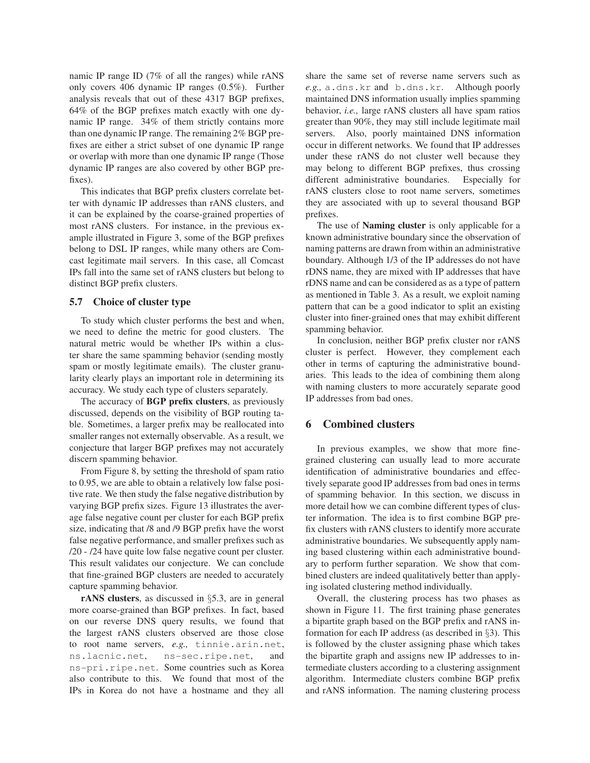namic IP range ID (7% of all the ranges) while rANS only covers 406 dynamic IP ranges (0.5%). Further analysis reveals that out of these 4317 BGP prefixes, 64% of the BGP prefixes match exactly with one dynamic IP range. 34% of them strictly contains more than one dynamic IP range. The remaining 2% BGP prefixes are either a strict subset of one dynamic IP range or overlap with more than one dynamic IP range (Those dynamic IP ranges are also covered by other BGP prefixes).

This indicates that BGP prefix clusters correlate better with dynamic IP addresses than rANS clusters, and it can be explained by the coarse-grained properties of most rANS clusters. For instance, in the previous example illustrated in Figure 3, some of the BGP prefixes belong to DSL IP ranges, while many others are Comcast legitimate mail servers. In this case, all Comcast IPs fall into the same set of rANS clusters but belong to distinct BGP prefix clusters.

#### **5.7 Choice of cluster type**

To study which cluster performs the best and when, we need to define the metric for good clusters. The natural metric would be whether IPs within a cluster share the same spamming behavior (sending mostly spam or mostly legitimate emails). The cluster granularity clearly plays an important role in determining its accuracy. We study each type of clusters separately.

The accuracy of **BGP prefix clusters**, as previously discussed, depends on the visibility of BGP routing table. Sometimes, a larger prefix may be reallocated into smaller ranges not externally observable. As a result, we conjecture that larger BGP prefixes may not accurately discern spamming behavior.

From Figure 8, by setting the threshold of spam ratio to 0.95, we are able to obtain a relatively low false positive rate. We then study the false negative distribution by varying BGP prefix sizes. Figure 13 illustrates the average false negative count per cluster for each BGP prefix size, indicating that /8 and /9 BGP prefix have the worst false negative performance, and smaller prefixes such as /20 - /24 have quite low false negative count per cluster. This result validates our conjecture. We can conclude that fine-grained BGP clusters are needed to accurately capture spamming behavior.

**rANS clusters**, as discussed in §5.3, are in general more coarse-grained than BGP prefixes. In fact, based on our reverse DNS query results, we found that the largest rANS clusters observed are those close to root name servers, *e.g.,* tinnie.arin.net, ns.lacnic.net, ns-sec.ripe.net, and ns-pri.ripe.net. Some countries such as Korea also contribute to this. We found that most of the IPs in Korea do not have a hostname and they all

share the same set of reverse name servers such as *e.g.,* a.dns.kr and b.dns.kr. Although poorly maintained DNS information usually implies spamming behavior, *i.e.,* large rANS clusters all have spam ratios greater than 90%, they may still include legitimate mail servers. Also, poorly maintained DNS information occur in different networks. We found that IP addresses under these rANS do not cluster well because they may belong to different BGP prefixes, thus crossing different administrative boundaries. Especially for rANS clusters close to root name servers, sometimes they are associated with up to several thousand BGP prefixes.

The use of **Naming cluster** is only applicable for a known administrative boundary since the observation of naming patterns are drawn from within an administrative boundary. Although 1/3 of the IP addresses do not have rDNS name, they are mixed with IP addresses that have rDNS name and can be considered as as a type of pattern as mentioned in Table 3. As a result, we exploit naming pattern that can be a good indicator to split an existing cluster into finer-grained ones that may exhibit different spamming behavior.

In conclusion, neither BGP prefix cluster nor rANS cluster is perfect. However, they complement each other in terms of capturing the administrative boundaries. This leads to the idea of combining them along with naming clusters to more accurately separate good IP addresses from bad ones.

## **6 Combined clusters**

In previous examples, we show that more finegrained clustering can usually lead to more accurate identification of administrative boundaries and effectively separate good IP addresses from bad ones in terms of spamming behavior. In this section, we discuss in more detail how we can combine different types of cluster information. The idea is to first combine BGP prefix clusters with rANS clusters to identify more accurate administrative boundaries. We subsequently apply naming based clustering within each administrative boundary to perform further separation. We show that combined clusters are indeed qualitatively better than applying isolated clustering method individually.

Overall, the clustering process has two phases as shown in Figure 11. The first training phase generates a bipartite graph based on the BGP prefix and rANS information for each IP address (as described in §3). This is followed by the cluster assigning phase which takes the bipartite graph and assigns new IP addresses to intermediate clusters according to a clustering assignment algorithm. Intermediate clusters combine BGP prefix and rANS information. The naming clustering process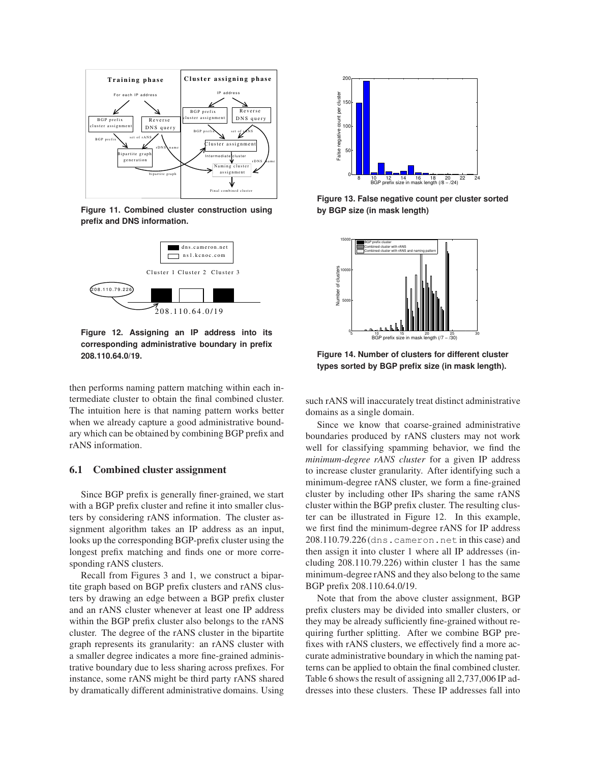

**Figure 11. Combined cluster construction using prefix and DNS information.**



**Figure 12. Assigning an IP address into its corresponding administrative boundary in prefix 208.110.64.0/19.**

then performs naming pattern matching within each intermediate cluster to obtain the final combined cluster. The intuition here is that naming pattern works better when we already capture a good administrative boundary which can be obtained by combining BGP prefix and rANS information.

#### **6.1 Combined cluster assignment**

Since BGP prefix is generally finer-grained, we start with a BGP prefix cluster and refine it into smaller clusters by considering rANS information. The cluster assignment algorithm takes an IP address as an input, looks up the corresponding BGP-prefix cluster using the longest prefix matching and finds one or more corresponding rANS clusters.

Recall from Figures 3 and 1, we construct a bipartite graph based on BGP prefix clusters and rANS clusters by drawing an edge between a BGP prefix cluster and an rANS cluster whenever at least one IP address within the BGP prefix cluster also belongs to the rANS cluster. The degree of the rANS cluster in the bipartite graph represents its granularity: an rANS cluster with a smaller degree indicates a more fine-grained administrative boundary due to less sharing across prefixes. For instance, some rANS might be third party rANS shared by dramatically different administrative domains. Using



**Figure 13. False negative count per cluster sorted by BGP size (in mask length)**



**Figure 14. Number of clusters for different cluster types sorted by BGP prefix size (in mask length).**

such rANS will inaccurately treat distinct administrative domains as a single domain.

Since we know that coarse-grained administrative boundaries produced by rANS clusters may not work well for classifying spamming behavior, we find the *minimum-degree rANS cluster* for a given IP address to increase cluster granularity. After identifying such a minimum-degree rANS cluster, we form a fine-grained cluster by including other IPs sharing the same rANS cluster within the BGP prefix cluster. The resulting cluster can be illustrated in Figure 12. In this example, we first find the minimum-degree rANS for IP address 208.110.79.226 (dns.cameron.net in this case) and then assign it into cluster 1 where all IP addresses (including 208.110.79.226) within cluster 1 has the same minimum-degree rANS and they also belong to the same BGP prefix 208.110.64.0/19.

Note that from the above cluster assignment, BGP prefix clusters may be divided into smaller clusters, or they may be already sufficiently fine-grained without requiring further splitting. After we combine BGP prefixes with rANS clusters, we effectively find a more accurate administrative boundary in which the naming patterns can be applied to obtain the final combined cluster. Table 6 shows the result of assigning all 2,737,006 IP addresses into these clusters. These IP addresses fall into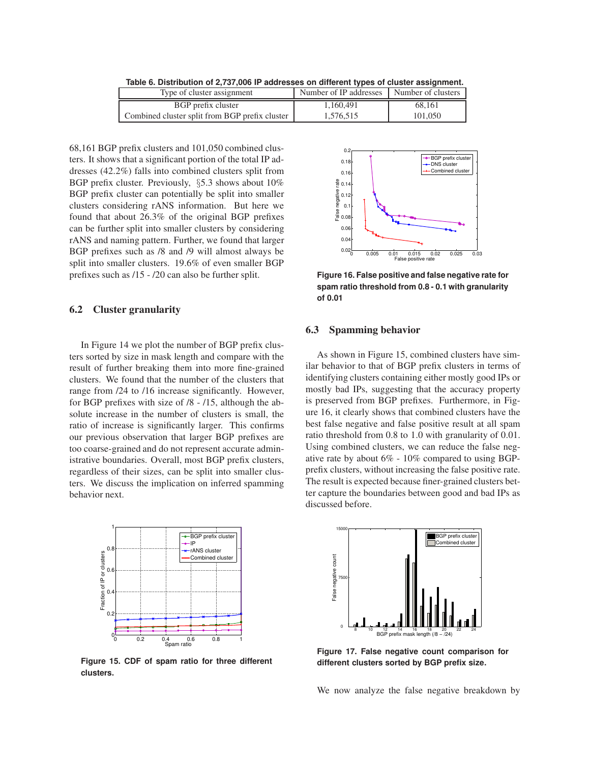| Type of cluster assignment                     | Number of IP addresses | Number of clusters |
|------------------------------------------------|------------------------|--------------------|
| BGP prefix cluster                             | 1.160.491              | 68.161             |
| Combined cluster split from BGP prefix cluster | 1.576.515              | 101,050            |

**Table 6. Distribution of 2,737,006 IP addresses on different types of cluster assignment.**

68,161 BGP prefix clusters and 101,050 combined clusters. It shows that a significant portion of the total IP addresses (42.2%) falls into combined clusters split from BGP prefix cluster. Previously, §5.3 shows about 10% BGP prefix cluster can potentially be split into smaller clusters considering rANS information. But here we found that about 26.3% of the original BGP prefixes can be further split into smaller clusters by considering rANS and naming pattern. Further, we found that larger BGP prefixes such as /8 and /9 will almost always be split into smaller clusters. 19.6% of even smaller BGP prefixes such as /15 - /20 can also be further split.

### **6.2 Cluster granularity**

In Figure 14 we plot the number of BGP prefix clusters sorted by size in mask length and compare with the result of further breaking them into more fine-grained clusters. We found that the number of the clusters that range from /24 to /16 increase significantly. However, for BGP prefixes with size of /8 - /15, although the absolute increase in the number of clusters is small, the ratio of increase is significantly larger. This confirms our previous observation that larger BGP prefixes are too coarse-grained and do not represent accurate administrative boundaries. Overall, most BGP prefix clusters, regardless of their sizes, can be split into smaller clusters. We discuss the implication on inferred spamming behavior next.



**Figure 15. CDF of spam ratio for three different clusters.**



**Figure 16. False positive and false negative rate for spam ratio threshold from 0.8 - 0.1 with granularity of 0.01**

#### **6.3 Spamming behavior**

As shown in Figure 15, combined clusters have similar behavior to that of BGP prefix clusters in terms of identifying clusters containing either mostly good IPs or mostly bad IPs, suggesting that the accuracy property is preserved from BGP prefixes. Furthermore, in Figure 16, it clearly shows that combined clusters have the best false negative and false positive result at all spam ratio threshold from 0.8 to 1.0 with granularity of 0.01. Using combined clusters, we can reduce the false negative rate by about 6% - 10% compared to using BGPprefix clusters, without increasing the false positive rate. The result is expected because finer-grained clusters better capture the boundaries between good and bad IPs as discussed before.



**Figure 17. False negative count comparison for different clusters sorted by BGP prefix size.**

We now analyze the false negative breakdown by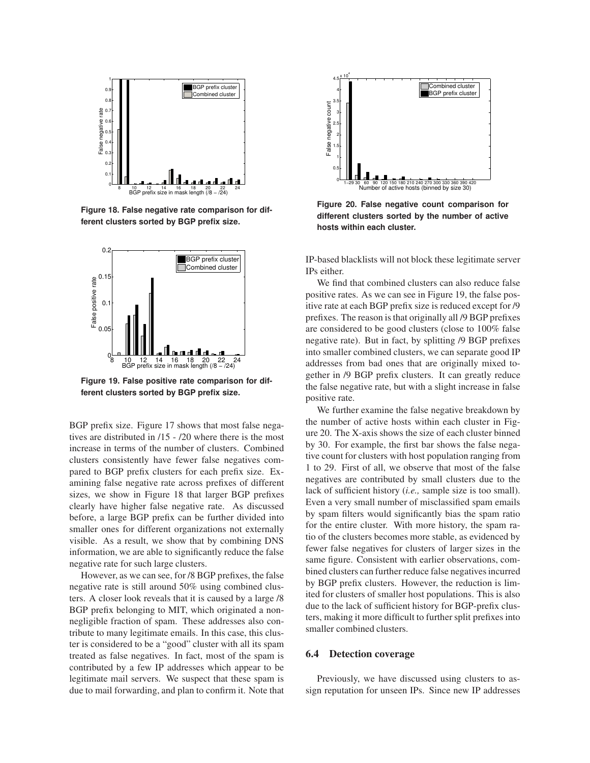

**Figure 18. False negative rate comparison for different clusters sorted by BGP prefix size.**



**Figure 19. False positive rate comparison for different clusters sorted by BGP prefix size.**

BGP prefix size. Figure 17 shows that most false negatives are distributed in /15 - /20 where there is the most increase in terms of the number of clusters. Combined clusters consistently have fewer false negatives compared to BGP prefix clusters for each prefix size. Examining false negative rate across prefixes of different sizes, we show in Figure 18 that larger BGP prefixes clearly have higher false negative rate. As discussed before, a large BGP prefix can be further divided into smaller ones for different organizations not externally visible. As a result, we show that by combining DNS information, we are able to significantly reduce the false negative rate for such large clusters.

However, as we can see, for /8 BGP prefixes, the false negative rate is still around 50% using combined clusters. A closer look reveals that it is caused by a large /8 BGP prefix belonging to MIT, which originated a nonnegligible fraction of spam. These addresses also contribute to many legitimate emails. In this case, this cluster is considered to be a "good" cluster with all its spam treated as false negatives. In fact, most of the spam is contributed by a few IP addresses which appear to be legitimate mail servers. We suspect that these spam is due to mail forwarding, and plan to confirm it. Note that



**Figure 20. False negative count comparison for different clusters sorted by the number of active hosts within each cluster.**

IP-based blacklists will not block these legitimate server IPs either.

We find that combined clusters can also reduce false positive rates. As we can see in Figure 19, the false positive rate at each BGP prefix size is reduced except for /9 prefixes. The reason is that originally all /9 BGP prefixes are considered to be good clusters (close to 100% false negative rate). But in fact, by splitting /9 BGP prefixes into smaller combined clusters, we can separate good IP addresses from bad ones that are originally mixed together in /9 BGP prefix clusters. It can greatly reduce the false negative rate, but with a slight increase in false positive rate.

We further examine the false negative breakdown by the number of active hosts within each cluster in Figure 20. The X-axis shows the size of each cluster binned by 30. For example, the first bar shows the false negative count for clusters with host population ranging from 1 to 29. First of all, we observe that most of the false negatives are contributed by small clusters due to the lack of sufficient history (*i.e.,* sample size is too small). Even a very small number of misclassified spam emails by spam filters would significantly bias the spam ratio for the entire cluster. With more history, the spam ratio of the clusters becomes more stable, as evidenced by fewer false negatives for clusters of larger sizes in the same figure. Consistent with earlier observations, combined clusters can further reduce false negatives incurred by BGP prefix clusters. However, the reduction is limited for clusters of smaller host populations. This is also due to the lack of sufficient history for BGP-prefix clusters, making it more difficult to further split prefixes into smaller combined clusters.

#### **6.4 Detection coverage**

Previously, we have discussed using clusters to assign reputation for unseen IPs. Since new IP addresses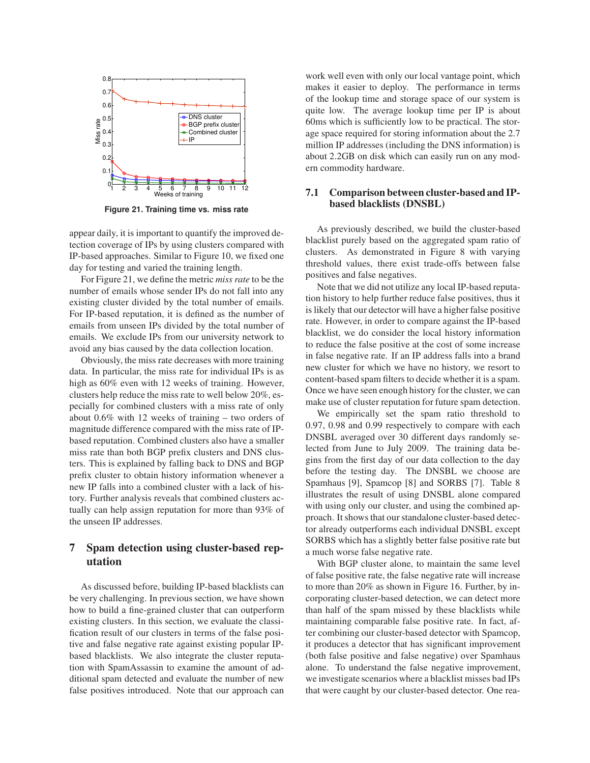

**Figure 21. Training time vs. miss rate**

appear daily, it is important to quantify the improved detection coverage of IPs by using clusters compared with IP-based approaches. Similar to Figure 10, we fixed one day for testing and varied the training length.

For Figure 21, we define the metric *miss rate* to be the number of emails whose sender IPs do not fall into any existing cluster divided by the total number of emails. For IP-based reputation, it is defined as the number of emails from unseen IPs divided by the total number of emails. We exclude IPs from our university network to avoid any bias caused by the data collection location.

Obviously, the miss rate decreases with more training data. In particular, the miss rate for individual IPs is as high as 60% even with 12 weeks of training. However, clusters help reduce the miss rate to well below 20%, especially for combined clusters with a miss rate of only about 0.6% with 12 weeks of training – two orders of magnitude difference compared with the miss rate of IPbased reputation. Combined clusters also have a smaller miss rate than both BGP prefix clusters and DNS clusters. This is explained by falling back to DNS and BGP prefix cluster to obtain history information whenever a new IP falls into a combined cluster with a lack of history. Further analysis reveals that combined clusters actually can help assign reputation for more than 93% of the unseen IP addresses.

## **7 Spam detection using cluster-based reputation**

As discussed before, building IP-based blacklists can be very challenging. In previous section, we have shown how to build a fine-grained cluster that can outperform existing clusters. In this section, we evaluate the classification result of our clusters in terms of the false positive and false negative rate against existing popular IPbased blacklists. We also integrate the cluster reputation with SpamAssassin to examine the amount of additional spam detected and evaluate the number of new false positives introduced. Note that our approach can

work well even with only our local vantage point, which makes it easier to deploy. The performance in terms of the lookup time and storage space of our system is quite low. The average lookup time per IP is about 60ms which is sufficiently low to be practical. The storage space required for storing information about the 2.7 million IP addresses (including the DNS information) is about 2.2GB on disk which can easily run on any modern commodity hardware.

## **7.1 Comparison between cluster-based and IPbased blacklists (DNSBL)**

As previously described, we build the cluster-based blacklist purely based on the aggregated spam ratio of clusters. As demonstrated in Figure 8 with varying threshold values, there exist trade-offs between false positives and false negatives.

Note that we did not utilize any local IP-based reputation history to help further reduce false positives, thus it is likely that our detector will have a higher false positive rate. However, in order to compare against the IP-based blacklist, we do consider the local history information to reduce the false positive at the cost of some increase in false negative rate. If an IP address falls into a brand new cluster for which we have no history, we resort to content-based spam filters to decide whether it is a spam. Once we have seen enough history for the cluster, we can make use of cluster reputation for future spam detection.

We empirically set the spam ratio threshold to 0.97, 0.98 and 0.99 respectively to compare with each DNSBL averaged over 30 different days randomly selected from June to July 2009. The training data begins from the first day of our data collection to the day before the testing day. The DNSBL we choose are Spamhaus [9], Spamcop [8] and SORBS [7]. Table 8 illustrates the result of using DNSBL alone compared with using only our cluster, and using the combined approach. It shows that our standalone cluster-based detector already outperforms each individual DNSBL except SORBS which has a slightly better false positive rate but a much worse false negative rate.

With BGP cluster alone, to maintain the same level of false positive rate, the false negative rate will increase to more than 20% as shown in Figure 16. Further, by incorporating cluster-based detection, we can detect more than half of the spam missed by these blacklists while maintaining comparable false positive rate. In fact, after combining our cluster-based detector with Spamcop, it produces a detector that has significant improvement (both false positive and false negative) over Spamhaus alone. To understand the false negative improvement, we investigate scenarios where a blacklist misses bad IPs that were caught by our cluster-based detector. One rea-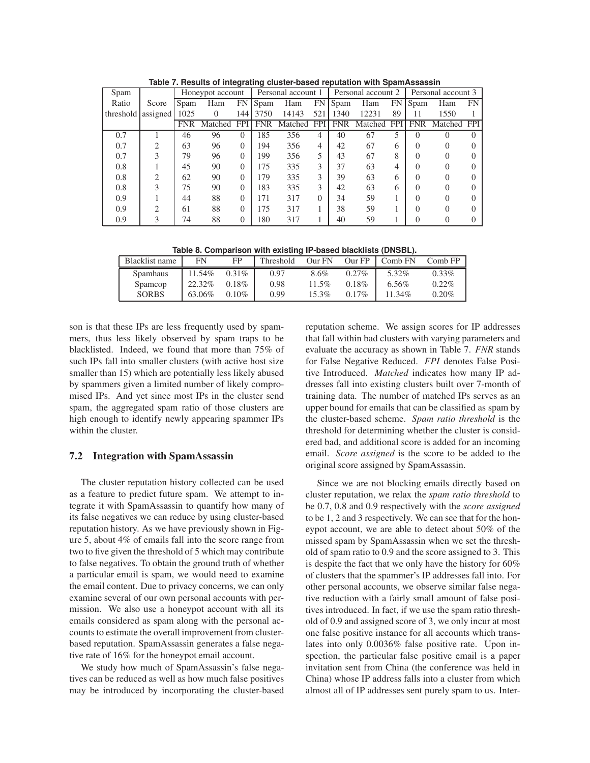| Spam      |          |            | Personal account 1<br>Honeypot account |            |            | Personal account 2 |            |             | Personal account 3 |            |            |                   |            |
|-----------|----------|------------|----------------------------------------|------------|------------|--------------------|------------|-------------|--------------------|------------|------------|-------------------|------------|
| Ratio     | Score    | Spam       | Ham                                    | FN         | Spam       | Ham                | FN         | <b>Spam</b> | Ham                | FN         | Spam       | Ham               | FN         |
| threshold | assigned | 1025       | 0                                      | 144        | 3750       | 14143              | 521        | 1340        | 12231              | 89         | 11         | 1550              |            |
|           |          | <b>FNR</b> | Matched                                | <b>FPI</b> | <b>FNR</b> | Matched            | <b>FPI</b> | <b>FNR</b>  | Matched            | <b>FPI</b> | <b>FNR</b> | Matched           | <b>FPI</b> |
| 0.7       |          | 46         | 96                                     | 0          | 185        | 356                | 4          | 40          | 67                 | 5          |            | $\mathbf{\Omega}$ |            |
| 0.7       | 2        | 63         | 96                                     | 0          | 194        | 356                | 4          | 42          | 67                 | 6          |            | $\theta$          |            |
| 0.7       | 3        | 79         | 96                                     | $\Omega$   | 199        | 356                | 5          | 43          | 67                 | 8          |            |                   |            |
| 0.8       |          | 45         | 90                                     | 0          | 175        | 335                | 3          | 37          | 63                 | 4          |            |                   |            |
| 0.8       | 2        | 62         | 90                                     | 0          | 179        | 335                | 3          | 39          | 63                 | 6          |            | 0                 |            |
| 0.8       | 3        | 75         | 90                                     | 0          | 183        | 335                | 3          | 42          | 63                 | 6          | $\Omega$   | 0                 |            |
| 0.9       |          | 44         | 88                                     | 0          | 171        | 317                | $\Omega$   | 34          | 59                 |            |            | 0                 |            |
| 0.9       | ↑        | 61         | 88                                     | $\Omega$   | 175        | 317                |            | 38          | 59                 |            |            | 0                 |            |
| 0.9       | 3        | 74         | 88                                     | 0          | 180        | 317                |            | 40          | 59                 |            |            |                   |            |

**Table 7. Results of integrating cluster-based reputation with SpamAssassin**

**Table 8. Comparison with existing IP-based blacklists (DNSBL).**

| Blacklist name | FN        | FP    | Threshold | Our FN   | Our FP   | Comb FN   | $Comb$ FP |
|----------------|-----------|-------|-----------|----------|----------|-----------|-----------|
| Spamhaus       | $11.54\%$ | 0.31% | 0.97      | 8.6%     | $0.27\%$ | 5.32%     | $0.33\%$  |
| Spamcop        | 22.32%    | 0.18% | 0.98      | 11.5%    | $0.18\%$ | $6.56\%$  | $0.22\%$  |
| <b>SORBS</b>   | 63.06%    | 0.10% | 0.99      | $15.3\%$ | 0.17%    | $11.34\%$ | 0.20%     |

son is that these IPs are less frequently used by spammers, thus less likely observed by spam traps to be blacklisted. Indeed, we found that more than 75% of such IPs fall into smaller clusters (with active host size smaller than 15) which are potentially less likely abused by spammers given a limited number of likely compromised IPs. And yet since most IPs in the cluster send spam, the aggregated spam ratio of those clusters are high enough to identify newly appearing spammer IPs within the cluster.

## **7.2 Integration with SpamAssassin**

The cluster reputation history collected can be used as a feature to predict future spam. We attempt to integrate it with SpamAssassin to quantify how many of its false negatives we can reduce by using cluster-based reputation history. As we have previously shown in Figure 5, about 4% of emails fall into the score range from two to five given the threshold of 5 which may contribute to false negatives. To obtain the ground truth of whether a particular email is spam, we would need to examine the email content. Due to privacy concerns, we can only examine several of our own personal accounts with permission. We also use a honeypot account with all its emails considered as spam along with the personal accounts to estimate the overall improvement from clusterbased reputation. SpamAssassin generates a false negative rate of 16% for the honeypot email account.

We study how much of SpamAssassin's false negatives can be reduced as well as how much false positives may be introduced by incorporating the cluster-based

reputation scheme. We assign scores for IP addresses that fall within bad clusters with varying parameters and evaluate the accuracy as shown in Table 7. *FNR* stands for False Negative Reduced. *FPI* denotes False Positive Introduced. *Matched* indicates how many IP addresses fall into existing clusters built over 7-month of training data. The number of matched IPs serves as an upper bound for emails that can be classified as spam by the cluster-based scheme. *Spam ratio threshold* is the threshold for determining whether the cluster is considered bad, and additional score is added for an incoming email. *Score assigned* is the score to be added to the original score assigned by SpamAssassin.

Since we are not blocking emails directly based on cluster reputation, we relax the *spam ratio threshold* to be 0.7, 0.8 and 0.9 respectively with the *score assigned* to be 1, 2 and 3 respectively. We can see that for the honeypot account, we are able to detect about 50% of the missed spam by SpamAssassin when we set the threshold of spam ratio to 0.9 and the score assigned to 3. This is despite the fact that we only have the history for 60% of clusters that the spammer's IP addresses fall into. For other personal accounts, we observe similar false negative reduction with a fairly small amount of false positives introduced. In fact, if we use the spam ratio threshold of 0.9 and assigned score of 3, we only incur at most one false positive instance for all accounts which translates into only 0.0036% false positive rate. Upon inspection, the particular false positive email is a paper invitation sent from China (the conference was held in China) whose IP address falls into a cluster from which almost all of IP addresses sent purely spam to us. Inter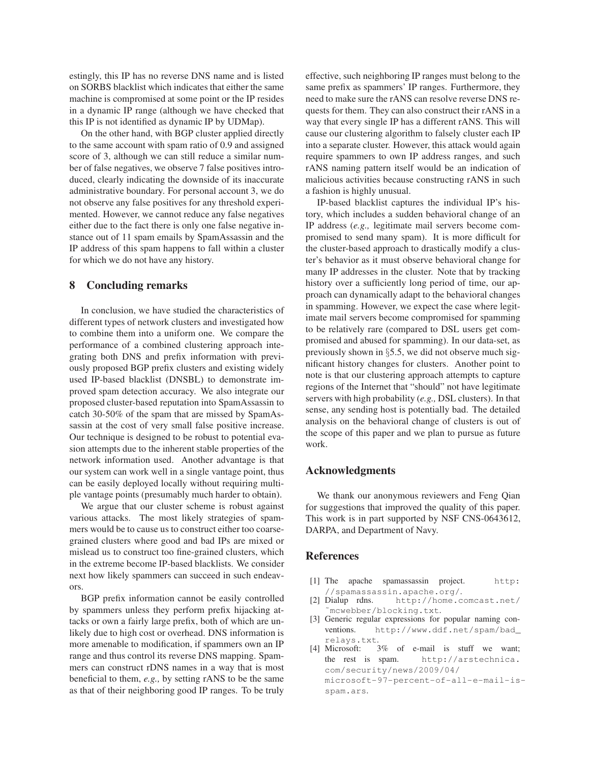estingly, this IP has no reverse DNS name and is listed on SORBS blacklist which indicates that either the same machine is compromised at some point or the IP resides in a dynamic IP range (although we have checked that this IP is not identified as dynamic IP by UDMap).

On the other hand, with BGP cluster applied directly to the same account with spam ratio of 0.9 and assigned score of 3, although we can still reduce a similar number of false negatives, we observe 7 false positives introduced, clearly indicating the downside of its inaccurate administrative boundary. For personal account 3, we do not observe any false positives for any threshold experimented. However, we cannot reduce any false negatives either due to the fact there is only one false negative instance out of 11 spam emails by SpamAssassin and the IP address of this spam happens to fall within a cluster for which we do not have any history.

## **8 Concluding remarks**

In conclusion, we have studied the characteristics of different types of network clusters and investigated how to combine them into a uniform one. We compare the performance of a combined clustering approach integrating both DNS and prefix information with previously proposed BGP prefix clusters and existing widely used IP-based blacklist (DNSBL) to demonstrate improved spam detection accuracy. We also integrate our proposed cluster-based reputation into SpamAssassin to catch 30-50% of the spam that are missed by SpamAssassin at the cost of very small false positive increase. Our technique is designed to be robust to potential evasion attempts due to the inherent stable properties of the network information used. Another advantage is that our system can work well in a single vantage point, thus can be easily deployed locally without requiring multiple vantage points (presumably much harder to obtain).

We argue that our cluster scheme is robust against various attacks. The most likely strategies of spammers would be to cause us to construct either too coarsegrained clusters where good and bad IPs are mixed or mislead us to construct too fine-grained clusters, which in the extreme become IP-based blacklists. We consider next how likely spammers can succeed in such endeavors.

BGP prefix information cannot be easily controlled by spammers unless they perform prefix hijacking attacks or own a fairly large prefix, both of which are unlikely due to high cost or overhead. DNS information is more amenable to modification, if spammers own an IP range and thus control its reverse DNS mapping. Spammers can construct rDNS names in a way that is most beneficial to them, *e.g.,* by setting rANS to be the same as that of their neighboring good IP ranges. To be truly

effective, such neighboring IP ranges must belong to the same prefix as spammers' IP ranges. Furthermore, they need to make sure the rANS can resolve reverse DNS requests for them. They can also construct their rANS in a way that every single IP has a different rANS. This will cause our clustering algorithm to falsely cluster each IP into a separate cluster. However, this attack would again require spammers to own IP address ranges, and such rANS naming pattern itself would be an indication of malicious activities because constructing rANS in such a fashion is highly unusual.

IP-based blacklist captures the individual IP's history, which includes a sudden behavioral change of an IP address (*e.g.,* legitimate mail servers become compromised to send many spam). It is more difficult for the cluster-based approach to drastically modify a cluster's behavior as it must observe behavioral change for many IP addresses in the cluster. Note that by tracking history over a sufficiently long period of time, our approach can dynamically adapt to the behavioral changes in spamming. However, we expect the case where legitimate mail servers become compromised for spamming to be relatively rare (compared to DSL users get compromised and abused for spamming). In our data-set, as previously shown in  $\S$ 5.5, we did not observe much significant history changes for clusters. Another point to note is that our clustering approach attempts to capture regions of the Internet that "should" not have legitimate servers with high probability (*e.g.,* DSL clusters). In that sense, any sending host is potentially bad. The detailed analysis on the behavioral change of clusters is out of the scope of this paper and we plan to pursue as future work.

## **Acknowledgments**

We thank our anonymous reviewers and Feng Qian for suggestions that improved the quality of this paper. This work is in part supported by NSF CNS-0643612, DARPA, and Department of Navy.

## **References**

- [1] The apache spamassassin project. http:
- //spamassassin.apache.org/<br>[2] Dialup rdns. http://home.org http://home.comcast.net/ ˜mcwebber/blocking.txt.
- [3] Generic regular expressions for popular naming conventions. http://www.ddf.net/spam/bad\_ relays.txt.<br>[4] Microsoft: 3
- 3% of e-mail is stuff we want; the rest is spam. http://arstechnica. com/security/news/2009/04/ microsoft-97-percent-of-all-e-mail-isspam.ars.